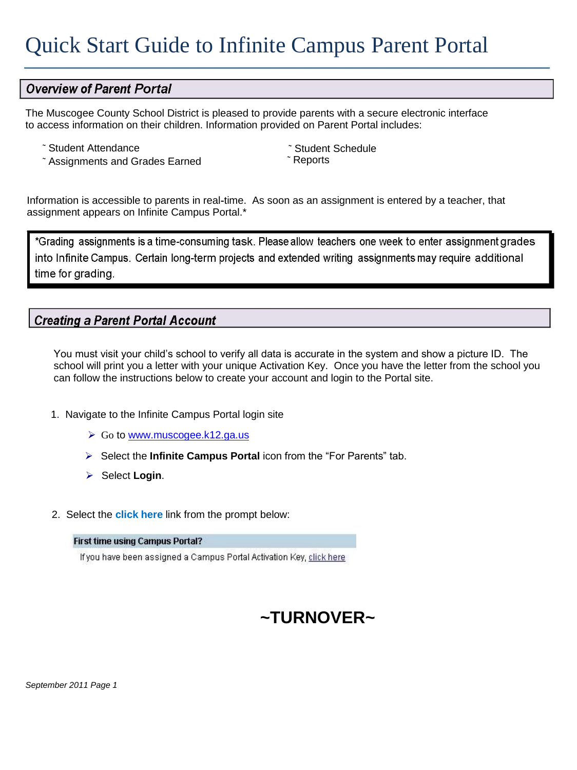## **Overview of Parent Portal**

The Muscogee County School District is pleased to provide parents with a secure electronic interface to access information on their children. Information provided on Parent Portal includes:

- ˜ Student Attendance
- ~ Assignments and Grades Earned

~ Student Schedule<br>~ Reports

Information is accessible to parents in real‐time. As soon as an assignment is entered by a teacher, that assignment appears on Infinite Campus Portal.\*

\*Grading assignments is a time‐consuming task. Please allow teachers one week to enter assignment into Infinite Campus. Certain long-term projects and extended writing assignments may require additional time for grading.

## **Creating a Parent Portal Account**

You must visit your child's school to verify all data is accurate in the system and show a picture ID. The school will print you a letter with your unique Activation Key. Once you have the letter from the school you can follow the instructions below to create your account and login to the Portal site.

- 1. Navigate to the Infinite Campus Portal login site
	- ▶ Go to [www.muscogee.k12.ga.us](http://www.muscogee.k12.ga.us/)
	- Select the **Infinite Campus Portal** icon from the "For Parents" tab.
	- **▶ Select Login.**
- 2. Select the **click here** link from the prompt below:

## **First time using Campus Portal?**

If you have been assigned a Campus Portal Activation Key, click here

## **~TURNOVER~**